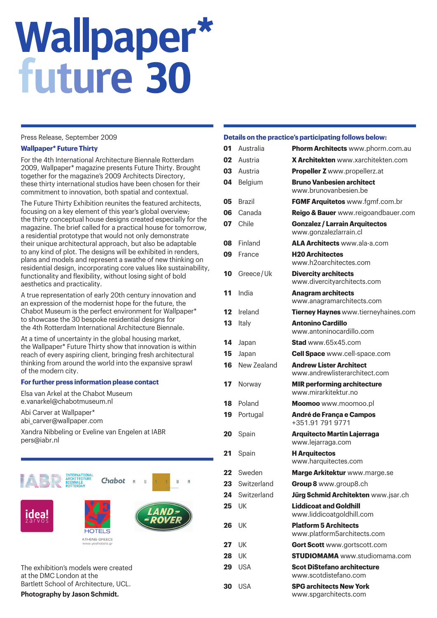# **Wallpaper\***<br>future 30

# Press Release, September 2009

#### **Wallpaper\* Future Thirty**

For the 4th International Architecture Biennale Rotterdam 2009, Wallpaper\* magazine presents Future Thirty. Brought together for the magazine's 2009 Architects Directory, these thirty international studios have been chosen for their commitment to innovation, both spatial and contextual.

The Future Thirty Exhibition reunites the featured architects, focusing on a key element of this year's global overview; the thirty conceptual house designs created especially for the magazine. The brief called for a practical house for tomorrow, a residential prototype that would not only demonstrate their unique architectural approach, but also be adaptable to any kind of plot. The designs will be exhibited in renders, plans and models and represent a swathe of new thinking on residential design, incorporating core values like sustainability, functionality and flexibility, without losing sight of bold aesthetics and practicality.

A true representation of early 20th century innovation and an expression of the modernist hope for the future, the Chabot Museum is the perfect environment for Wallpaper\* to showcase the 30 bespoke residential designs for the 4th Rotterdam International Architecture Biennale.

At a time of uncertainty in the global housing market, the Wallpaper\* Future Thirty show that innovation is within reach of every aspiring client, bringing fresh architectural thinking from around the world into the expansive sprawl of the modern city.

# **For further press information please contact**

Elsa van Arkel at the Chabot Museum e.vanarkel@chabotmuseum.nl

Abi Carver at Wallpaper\* abi\_carver@wallpaper.com

Xandra Nibbeling or Eveline van Engelen at IABR pers@iabr.nl



# **Details on the practice's participating follows below:**

| 01 | Australia     | Phorm Architects www.phorm.com.au                               |
|----|---------------|-----------------------------------------------------------------|
| 02 | Austria       | <b>X Architekten</b> www.xarchitekten.com                       |
| 03 | Austria       | <b>Propeller Z</b> www.propellerz.at                            |
| 04 | Belgium       | <b>Bruno Vanbesien architect</b><br>www.brunovanbesien.be       |
| 05 | <b>Brazil</b> | FGMF Arquitetos www.fgmf.com.br                                 |
| 06 | Canada        | Reigo & Bauer www.reigoandbauer.com                             |
| 07 | Chile         | <b>Gonzalez / Larrain Arquitectos</b><br>www.gonzalezlarrain.cl |
| 80 | Finland       | ALA Architects www.ala-a.com                                    |
| 09 | France        | <b>H20 Architectes</b><br>www.h2oarchitectes.com                |
| 10 | Greece/Uk     | <b>Divercity architects</b><br>www.divercityarchitects.com      |
| 11 | India         | <b>Anagram architects</b><br>www.anagramarchitects.com          |
| 12 | Ireland       | Tierney Haynes www.tierneyhaines.com                            |
| 13 | Italy         | <b>Antonino Cardillo</b><br>www.antoninocardillo.com            |
| 14 | Japan         | <b>Stad</b> www.65x45.com                                       |
| 15 | Japan         | <b>Cell Space</b> www.cell-space.com                            |
| 16 | New Zealand   | <b>Andrew Lister Architect</b><br>www.andrewlisterarchitect.com |
| 17 | Norway        | <b>MIR performing architecture</b><br>www.mirarkitektur.no      |
| 18 | Poland        | Moomoo www.moomoo.pl                                            |
| 19 | Portugal      | André de França e Campos<br>+351.91 791 9771                    |
| 20 | Spain         | <b>Arquitecto Martin Lajerraga</b><br>www.lejarraga.com         |
| 21 | Spain         | <b>H</b> Arquitectos<br>www.harquitectes.com                    |
| 22 | Sweden        | Marge Arkitektur www.marge.se                                   |
| 23 | Switzerland   | Group 8 www.group8.ch                                           |
| 24 | Switzerland   | Jürg Schmid Architekten www.jsar.ch                             |
| 25 | UK            | <b>Liddicoat and Goldhill</b><br>www.liddicoatgoldhill.com      |
| 26 | UK            | <b>Platform 5 Architects</b><br>www.platform5architects.com     |
| 27 | UK            | <b>Gort Scott</b> www.gortscott.com                             |
| 28 | UK            | <b>STUDIOMAMA</b> www.studiomama.com                            |
| 29 | USA           | <b>Scot DiStefano architecture</b><br>www.scotdistefano.com     |
| 30 | <b>USA</b>    | <b>SPG architects New York</b><br>www.spgarchitects.com         |